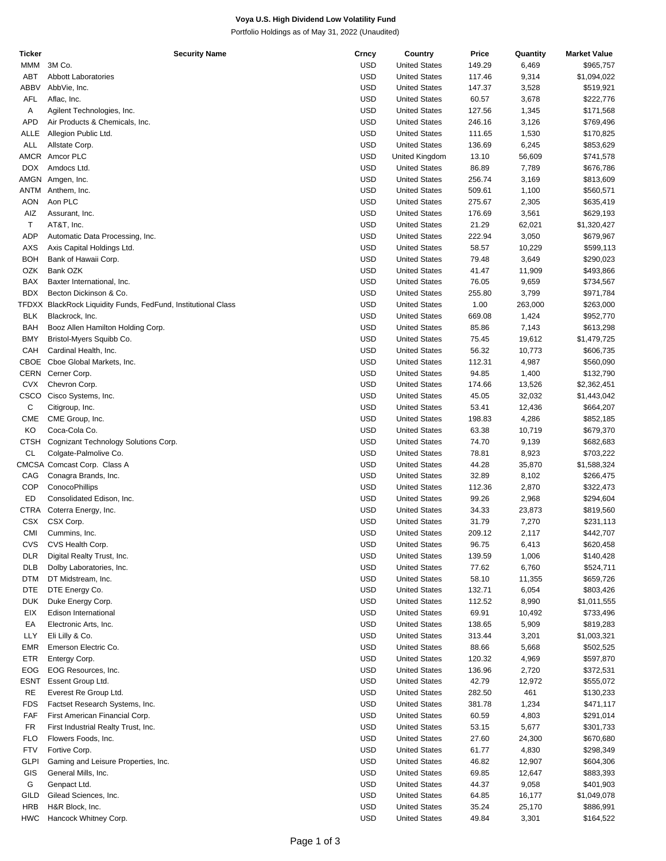## **Voya U.S. High Dividend Low Volatility Fund**

Portfolio Holdings as of May 31, 2022 (Unaudited)

| Ticker      | <b>Security Name</b>                                          | Crncy      | Country              | Price  | Quantity | <b>Market Value</b> |
|-------------|---------------------------------------------------------------|------------|----------------------|--------|----------|---------------------|
| MMM         | 3M Co.                                                        | <b>USD</b> | <b>United States</b> | 149.29 | 6,469    | \$965,757           |
| <b>ABT</b>  | <b>Abbott Laboratories</b>                                    | <b>USD</b> | <b>United States</b> | 117.46 | 9,314    | \$1,094,022         |
|             |                                                               |            |                      |        |          |                     |
| <b>ABBV</b> | AbbVie, Inc.                                                  | <b>USD</b> | <b>United States</b> | 147.37 | 3,528    | \$519,921           |
| AFL         | Aflac, Inc.                                                   | <b>USD</b> | <b>United States</b> | 60.57  | 3,678    | \$222,776           |
| Α           | Agilent Technologies, Inc.                                    | <b>USD</b> | <b>United States</b> | 127.56 | 1,345    | \$171,568           |
| <b>APD</b>  | Air Products & Chemicals, Inc.                                | USD        | <b>United States</b> | 246.16 | 3,126    | \$769,496           |
|             |                                                               |            |                      |        |          |                     |
| ALLE        | Allegion Public Ltd.                                          | <b>USD</b> | <b>United States</b> | 111.65 | 1,530    | \$170,825           |
| ALL         | Allstate Corp.                                                | <b>USD</b> | <b>United States</b> | 136.69 | 6,245    | \$853,629           |
|             | AMCR Amcor PLC                                                | <b>USD</b> | United Kingdom       | 13.10  | 56,609   | \$741,578           |
| <b>DOX</b>  | Amdocs Ltd.                                                   | USD        | <b>United States</b> | 86.89  | 7,789    | \$676,786           |
|             | AMGN Amgen, Inc.                                              | <b>USD</b> | <b>United States</b> | 256.74 | 3,169    | \$813,609           |
|             |                                                               |            |                      |        |          |                     |
| ANTM        | Anthem, Inc.                                                  | <b>USD</b> | <b>United States</b> | 509.61 | 1,100    | \$560,571           |
| <b>AON</b>  | Aon PLC                                                       | <b>USD</b> | <b>United States</b> | 275.67 | 2,305    | \$635,419           |
| AIZ         | Assurant, Inc.                                                | USD        | <b>United States</b> | 176.69 | 3,561    | \$629,193           |
| т           | AT&T, Inc.                                                    | <b>USD</b> | <b>United States</b> | 21.29  | 62,021   | \$1,320,427         |
|             |                                                               |            |                      |        |          |                     |
| <b>ADP</b>  | Automatic Data Processing, Inc.                               | <b>USD</b> | <b>United States</b> | 222.94 | 3,050    | \$679,967           |
| AXS         | Axis Capital Holdings Ltd.                                    | <b>USD</b> | <b>United States</b> | 58.57  | 10,229   | \$599,113           |
| <b>BOH</b>  | Bank of Hawaii Corp.                                          | USD        | <b>United States</b> | 79.48  | 3,649    | \$290,023           |
| OZK         | Bank OZK                                                      | <b>USD</b> | <b>United States</b> | 41.47  | 11,909   | \$493,866           |
| BAX         | Baxter International, Inc.                                    | <b>USD</b> | <b>United States</b> | 76.05  |          |                     |
|             |                                                               |            |                      |        | 9,659    | \$734,567           |
| <b>BDX</b>  | Becton Dickinson & Co.                                        | <b>USD</b> | <b>United States</b> | 255.80 | 3,799    | \$971,784           |
|             | TFDXX BlackRock Liquidity Funds, FedFund, Institutional Class | USD        | <b>United States</b> | 1.00   | 263,000  | \$263,000           |
| <b>BLK</b>  | Blackrock, Inc.                                               | <b>USD</b> | <b>United States</b> | 669.08 | 1,424    | \$952,770           |
| <b>BAH</b>  | Booz Allen Hamilton Holding Corp.                             | <b>USD</b> | <b>United States</b> | 85.86  | 7,143    | \$613,298           |
|             |                                                               |            |                      |        |          |                     |
| <b>BMY</b>  | Bristol-Myers Squibb Co.                                      | <b>USD</b> | <b>United States</b> | 75.45  | 19,612   | \$1,479,725         |
| CAH         | Cardinal Health, Inc.                                         | USD        | <b>United States</b> | 56.32  | 10,773   | \$606,735           |
| CBOE        | Cboe Global Markets, Inc.                                     | <b>USD</b> | <b>United States</b> | 112.31 | 4,987    | \$560,090           |
| CERN        | Cerner Corp.                                                  | <b>USD</b> | <b>United States</b> | 94.85  | 1,400    | \$132,790           |
|             |                                                               |            |                      |        |          |                     |
| <b>CVX</b>  | Chevron Corp.                                                 | <b>USD</b> | <b>United States</b> | 174.66 | 13,526   | \$2,362,451         |
| CSCO        | Cisco Systems, Inc.                                           | USD        | <b>United States</b> | 45.05  | 32,032   | \$1,443,042         |
| С           | Citigroup, Inc.                                               | <b>USD</b> | <b>United States</b> | 53.41  | 12,436   | \$664,207           |
| <b>CME</b>  | CME Group, Inc.                                               | <b>USD</b> | <b>United States</b> | 198.83 | 4,286    | \$852,185           |
| KO          | Coca-Cola Co.                                                 | <b>USD</b> | <b>United States</b> | 63.38  |          |                     |
|             |                                                               |            |                      |        | 10,719   | \$679,370           |
| <b>CTSH</b> | Cognizant Technology Solutions Corp.                          | USD        | <b>United States</b> | 74.70  | 9,139    | \$682,683           |
| <b>CL</b>   | Colgate-Palmolive Co.                                         | <b>USD</b> | <b>United States</b> | 78.81  | 8,923    | \$703,222           |
|             | CMCSA Comcast Corp. Class A                                   | <b>USD</b> | <b>United States</b> | 44.28  | 35,870   | \$1,588,324         |
| CAG         | Conagra Brands, Inc.                                          | <b>USD</b> | <b>United States</b> | 32.89  | 8,102    | \$266,475           |
|             |                                                               |            |                      |        |          |                     |
| <b>COP</b>  | ConocoPhillips                                                | USD        | <b>United States</b> | 112.36 | 2,870    | \$322,473           |
| ED          | Consolidated Edison, Inc.                                     | <b>USD</b> | <b>United States</b> | 99.26  | 2,968    | \$294,604           |
| CTRA        | Coterra Energy, Inc.                                          | <b>USD</b> | <b>United States</b> | 34.33  | 23,873   | \$819,560           |
| <b>CSX</b>  | CSX Corp.                                                     | <b>USD</b> | <b>United States</b> | 31.79  | 7,270    | \$231,113           |
|             |                                                               | <b>USD</b> |                      |        |          |                     |
| CMI         | Cummins, Inc.                                                 |            | <b>United States</b> | 209.12 | 2,117    | \$442,707           |
| <b>CVS</b>  | CVS Health Corp.                                              | <b>USD</b> | <b>United States</b> | 96.75  | 6,413    | \$620,458           |
| <b>DLR</b>  | Digital Realty Trust, Inc.                                    | USD        | <b>United States</b> | 139.59 | 1,006    | \$140,428           |
| <b>DLB</b>  | Dolby Laboratories, Inc.                                      | <b>USD</b> | <b>United States</b> | 77.62  | 6,760    | \$524,711           |
| <b>DTM</b>  | DT Midstream, Inc.                                            | USD        | <b>United States</b> | 58.10  | 11,355   | \$659,726           |
|             |                                                               |            |                      |        |          |                     |
| DTE         | DTE Energy Co.                                                | <b>USD</b> | <b>United States</b> | 132.71 | 6,054    | \$803,426           |
| <b>DUK</b>  | Duke Energy Corp.                                             | USD        | <b>United States</b> | 112.52 | 8,990    | \$1,011,555         |
| EIX         | Edison International                                          | <b>USD</b> | <b>United States</b> | 69.91  | 10,492   | \$733,496           |
| EA          | Electronic Arts, Inc.                                         | USD        | <b>United States</b> | 138.65 | 5,909    | \$819,283           |
|             |                                                               |            |                      |        |          |                     |
| LLY         | Eli Lilly & Co.                                               | <b>USD</b> | <b>United States</b> | 313.44 | 3,201    | \$1,003,321         |
| EMR         | Emerson Electric Co.                                          | USD        | <b>United States</b> | 88.66  | 5,668    | \$502,525           |
| ETR         | Entergy Corp.                                                 | USD        | <b>United States</b> | 120.32 | 4,969    | \$597,870           |
| <b>EOG</b>  | EOG Resources, Inc.                                           | USD        | <b>United States</b> | 136.96 | 2,720    | \$372,531           |
|             |                                                               | <b>USD</b> |                      |        |          |                     |
| <b>ESNT</b> | Essent Group Ltd.                                             |            | <b>United States</b> | 42.79  | 12,972   | \$555,072           |
| <b>RE</b>   | Everest Re Group Ltd.                                         | USD        | <b>United States</b> | 282.50 | 461      | \$130,233           |
| <b>FDS</b>  | Factset Research Systems, Inc.                                | <b>USD</b> | <b>United States</b> | 381.78 | 1,234    | \$471,117           |
| FAF         | First American Financial Corp.                                | USD        | <b>United States</b> | 60.59  | 4,803    | \$291,014           |
| FR          | First Industrial Realty Trust, Inc.                           | <b>USD</b> | <b>United States</b> | 53.15  | 5,677    | \$301,733           |
|             |                                                               |            |                      |        |          |                     |
| FLO         | Flowers Foods, Inc.                                           | USD        | <b>United States</b> | 27.60  | 24,300   | \$670,680           |
| <b>FTV</b>  | Fortive Corp.                                                 | USD        | <b>United States</b> | 61.77  | 4,830    | \$298,349           |
| <b>GLPI</b> | Gaming and Leisure Properties, Inc.                           | USD        | <b>United States</b> | 46.82  | 12,907   | \$604,306           |
| GIS         | General Mills, Inc.                                           | <b>USD</b> | <b>United States</b> | 69.85  | 12,647   | \$883,393           |
|             |                                                               |            |                      |        |          |                     |
| G           | Genpact Ltd.                                                  | USD        | <b>United States</b> | 44.37  | 9,058    | \$401,903           |
| GILD        | Gilead Sciences, Inc.                                         | <b>USD</b> | <b>United States</b> | 64.85  | 16,177   | \$1,049,078         |
| <b>HRB</b>  | H&R Block, Inc.                                               | USD        | <b>United States</b> | 35.24  | 25,170   | \$886,991           |
| <b>HWC</b>  | Hancock Whitney Corp.                                         | <b>USD</b> | <b>United States</b> | 49.84  | 3,301    | \$164,522           |
|             |                                                               |            |                      |        |          |                     |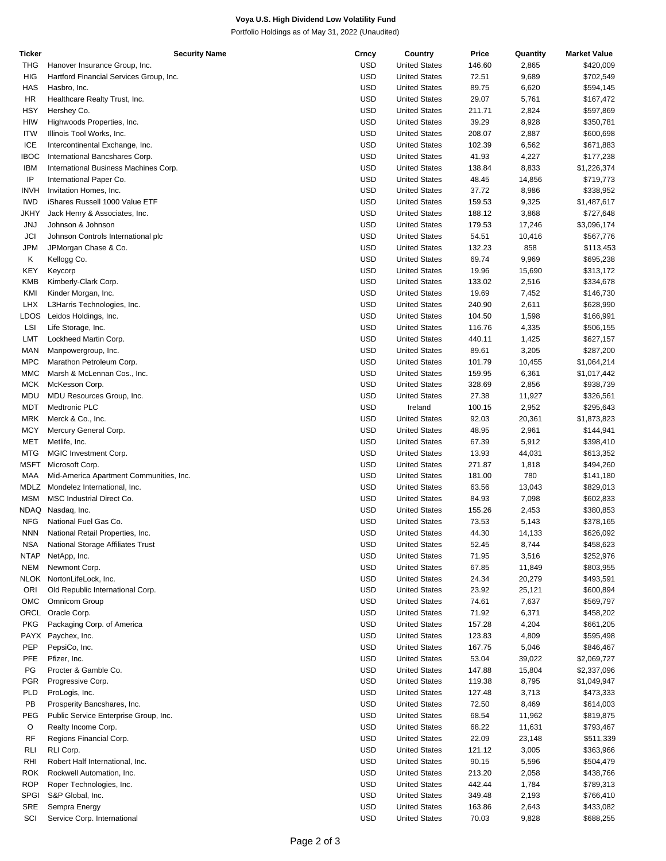## **Voya U.S. High Dividend Low Volatility Fund**

Portfolio Holdings as of May 31, 2022 (Unaudited)

| <b>Ticker</b> | <b>Security Name</b>                    | Crncy      | Country              | Price  | Quantity | <b>Market Value</b> |
|---------------|-----------------------------------------|------------|----------------------|--------|----------|---------------------|
| THG           | Hanover Insurance Group, Inc.           | <b>USD</b> | <b>United States</b> | 146.60 | 2,865    | \$420,009           |
| <b>HIG</b>    | Hartford Financial Services Group, Inc. | <b>USD</b> | <b>United States</b> | 72.51  | 9,689    | \$702,549           |
| <b>HAS</b>    | Hasbro, Inc.                            | <b>USD</b> | <b>United States</b> | 89.75  | 6,620    | \$594,145           |
| HR            | Healthcare Realty Trust, Inc.           | <b>USD</b> | <b>United States</b> | 29.07  | 5,761    | \$167,472           |
| HSY           | Hershey Co.                             | <b>USD</b> | <b>United States</b> | 211.71 | 2,824    | \$597,869           |
| <b>HIW</b>    | Highwoods Properties, Inc.              | <b>USD</b> | <b>United States</b> | 39.29  | 8,928    | \$350,781           |
| <b>ITW</b>    | Illinois Tool Works, Inc.               | <b>USD</b> | <b>United States</b> | 208.07 | 2,887    | \$600,698           |
| ICE           |                                         | <b>USD</b> | <b>United States</b> | 102.39 | 6,562    | \$671,883           |
|               | Intercontinental Exchange, Inc.         |            |                      |        |          |                     |
| <b>IBOC</b>   | International Bancshares Corp.          | <b>USD</b> | <b>United States</b> | 41.93  | 4,227    | \$177,238           |
| <b>IBM</b>    | International Business Machines Corp.   | <b>USD</b> | <b>United States</b> | 138.84 | 8,833    | \$1,226,374         |
| ΙP            | International Paper Co.                 | <b>USD</b> | <b>United States</b> | 48.45  | 14,856   | \$719,773           |
| <b>INVH</b>   | Invitation Homes, Inc.                  | <b>USD</b> | <b>United States</b> | 37.72  | 8,986    | \$338,952           |
| <b>IWD</b>    | iShares Russell 1000 Value ETF          | <b>USD</b> | <b>United States</b> | 159.53 | 9,325    | \$1,487,617         |
| JKHY          | Jack Henry & Associates, Inc.           | <b>USD</b> | <b>United States</b> | 188.12 | 3,868    | \$727,648           |
| <b>JNJ</b>    | Johnson & Johnson                       | <b>USD</b> | <b>United States</b> | 179.53 | 17,246   | \$3,096,174         |
| JCI           | Johnson Controls International plc      | <b>USD</b> | <b>United States</b> | 54.51  | 10,416   | \$567,776           |
| JPM           | JPMorgan Chase & Co.                    | <b>USD</b> | <b>United States</b> | 132.23 | 858      | \$113,453           |
| Κ             | Kellogg Co.                             | <b>USD</b> | <b>United States</b> | 69.74  | 9,969    | \$695,238           |
| KEY           | Keycorp                                 | <b>USD</b> | <b>United States</b> | 19.96  | 15,690   | \$313,172           |
| KMB           | Kimberly-Clark Corp.                    | <b>USD</b> | <b>United States</b> | 133.02 | 2,516    | \$334,678           |
|               |                                         |            |                      |        |          |                     |
| KMI           | Kinder Morgan, Inc.                     | <b>USD</b> | <b>United States</b> | 19.69  | 7,452    | \$146,730           |
| <b>LHX</b>    | L3Harris Technologies, Inc.             | <b>USD</b> | <b>United States</b> | 240.90 | 2,611    | \$628,990           |
| LDOS          | Leidos Holdings, Inc.                   | <b>USD</b> | <b>United States</b> | 104.50 | 1,598    | \$166,991           |
| LSI           | Life Storage, Inc.                      | <b>USD</b> | <b>United States</b> | 116.76 | 4,335    | \$506,155           |
| LMT           | Lockheed Martin Corp.                   | <b>USD</b> | <b>United States</b> | 440.11 | 1,425    | \$627,157           |
| MAN           | Manpowergroup, Inc.                     | <b>USD</b> | <b>United States</b> | 89.61  | 3,205    | \$287,200           |
| <b>MPC</b>    | Marathon Petroleum Corp.                | <b>USD</b> | <b>United States</b> | 101.79 | 10,455   | \$1,064,214         |
| <b>MMC</b>    | Marsh & McLennan Cos., Inc.             | <b>USD</b> | <b>United States</b> | 159.95 | 6,361    | \$1,017,442         |
| MCK           | McKesson Corp.                          | <b>USD</b> | <b>United States</b> | 328.69 | 2,856    | \$938,739           |
| MDU           | MDU Resources Group, Inc.               | <b>USD</b> | <b>United States</b> | 27.38  | 11,927   | \$326,561           |
| MDT           | <b>Medtronic PLC</b>                    | <b>USD</b> | Ireland              | 100.15 | 2,952    | \$295,643           |
| MRK           | Merck & Co., Inc.                       | <b>USD</b> | <b>United States</b> | 92.03  | 20,361   | \$1,873,823         |
| <b>MCY</b>    | Mercury General Corp.                   | <b>USD</b> | <b>United States</b> | 48.95  | 2,961    | \$144,941           |
|               |                                         |            |                      |        |          |                     |
| MET           | Metlife, Inc.                           | <b>USD</b> | <b>United States</b> | 67.39  | 5,912    | \$398,410           |
| <b>MTG</b>    | MGIC Investment Corp.                   | <b>USD</b> | <b>United States</b> | 13.93  | 44,031   | \$613,352           |
| MSFT          | Microsoft Corp.                         | <b>USD</b> | <b>United States</b> | 271.87 | 1,818    | \$494,260           |
| MAA           | Mid-America Apartment Communities, Inc. | <b>USD</b> | <b>United States</b> | 181.00 | 780      | \$141,180           |
| MDLZ          | Mondelez International, Inc.            | <b>USD</b> | <b>United States</b> | 63.56  | 13,043   | \$829,013           |
| <b>MSM</b>    | MSC Industrial Direct Co.               | <b>USD</b> | <b>United States</b> | 84.93  | 7,098    | \$602,833           |
| NDAQ          | Nasdaq, Inc.                            | <b>USD</b> | <b>United States</b> | 155.26 | 2,453    | \$380,853           |
| <b>NFG</b>    | National Fuel Gas Co.                   | <b>USD</b> | <b>United States</b> | 73.53  | 5,143    | \$378,165           |
| <b>NNN</b>    | National Retail Properties, Inc.        | <b>USD</b> | <b>United States</b> | 44.30  | 14,133   | \$626,092           |
| <b>NSA</b>    | National Storage Affiliates Trust       | <b>USD</b> | <b>United States</b> | 52.45  | 8,744    | \$458,623           |
| <b>NTAP</b>   | NetApp, Inc.                            | <b>USD</b> | <b>United States</b> | 71.95  | 3,516    | \$252,976           |
| <b>NEM</b>    | Newmont Corp.                           | USD        | <b>United States</b> | 67.85  | 11,849   | \$803,955           |
|               |                                         |            |                      |        |          |                     |
| NLOK          | NortonLifeLock, Inc.                    | <b>USD</b> | <b>United States</b> | 24.34  | 20,279   | \$493,591           |
| ORI           | Old Republic International Corp.        | <b>USD</b> | <b>United States</b> | 23.92  | 25,121   | \$600,894           |
| OMC           | <b>Omnicom Group</b>                    | <b>USD</b> | <b>United States</b> | 74.61  | 7,637    | \$569,797           |
| ORCL          | Oracle Corp.                            | USD        | <b>United States</b> | 71.92  | 6,371    | \$458,202           |
| <b>PKG</b>    | Packaging Corp. of America              | <b>USD</b> | <b>United States</b> | 157.28 | 4,204    | \$661,205           |
| PAYX          | Paychex, Inc.                           | <b>USD</b> | <b>United States</b> | 123.83 | 4,809    | \$595,498           |
| PEP           | PepsiCo, Inc.                           | <b>USD</b> | <b>United States</b> | 167.75 | 5,046    | \$846,467           |
| <b>PFE</b>    | Pfizer, Inc.                            | USD        | <b>United States</b> | 53.04  | 39,022   | \$2,069,727         |
| PG            | Procter & Gamble Co.                    | <b>USD</b> | <b>United States</b> | 147.88 | 15,804   | \$2,337,096         |
| <b>PGR</b>    | Progressive Corp.                       | <b>USD</b> | <b>United States</b> | 119.38 | 8,795    | \$1,049,947         |
| PLD           | ProLogis, Inc.                          | <b>USD</b> | <b>United States</b> | 127.48 | 3,713    | \$473,333           |
| PB            | Prosperity Bancshares, Inc.             | USD        | <b>United States</b> | 72.50  | 8,469    | \$614,003           |
|               |                                         |            |                      |        |          |                     |
| PEG           | Public Service Enterprise Group, Inc.   | <b>USD</b> | <b>United States</b> | 68.54  | 11,962   | \$819,875           |
| O             | Realty Income Corp.                     | <b>USD</b> | <b>United States</b> | 68.22  | 11,631   | \$793,467           |
| <b>RF</b>     | Regions Financial Corp.                 | <b>USD</b> | <b>United States</b> | 22.09  | 23,148   | \$511,339           |
| RLI           | RLI Corp.                               | USD        | <b>United States</b> | 121.12 | 3,005    | \$363,966           |
| RHI           | Robert Half International, Inc.         | USD        | <b>United States</b> | 90.15  | 5,596    | \$504,479           |
| ROK           | Rockwell Automation, Inc.               | <b>USD</b> | <b>United States</b> | 213.20 | 2,058    | \$438,766           |
| <b>ROP</b>    | Roper Technologies, Inc.                | <b>USD</b> | <b>United States</b> | 442.44 | 1,784    | \$789,313           |
| <b>SPGI</b>   | S&P Global, Inc.                        | USD        | <b>United States</b> | 349.48 | 2,193    | \$766,410           |
| SRE           | Sempra Energy                           | <b>USD</b> | <b>United States</b> | 163.86 | 2,643    | \$433,082           |
| SCI           | Service Corp. International             | <b>USD</b> | <b>United States</b> | 70.03  | 9,828    | \$688,255           |